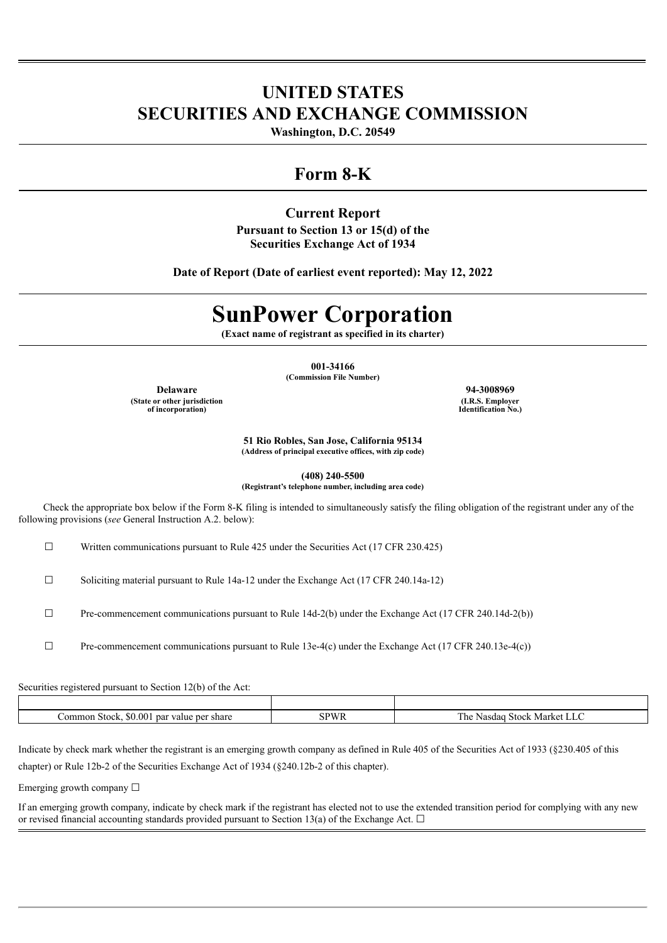# **UNITED STATES SECURITIES AND EXCHANGE COMMISSION**

**Washington, D.C. 20549**

# **Form 8-K**

## **Current Report**

**Pursuant to Section 13 or 15(d) of the Securities Exchange Act of 1934**

**Date of Report (Date of earliest event reported): May 12, 2022**

# **SunPower Corporation**

**(Exact name of registrant as specified in its charter)**

**001-34166 (Commission File Number)**

**Delaware 94-3008969**

**(State or other jurisdiction of incorporation)**

**(I.R.S. Employer Identification No.)**

**51 Rio Robles, San Jose, California 95134 (Address of principal executive offices, with zip code)**

**(408) 240-5500**

**(Registrant's telephone number, including area code)**

Check the appropriate box below if the Form 8-K filing is intended to simultaneously satisfy the filing obligation of the registrant under any of the following provisions (*see* General Instruction A.2. below):

 $\Box$  Written communications pursuant to Rule 425 under the Securities Act (17 CFR 230.425)

 $\Box$  Soliciting material pursuant to Rule 14a-12 under the Exchange Act (17 CFR 240.14a-12)

 $\Box$  Pre-commencement communications pursuant to Rule 14d-2(b) under the Exchange Act (17 CFR 240.14d-2(b))

☐ Pre-commencement communications pursuant to Rule 13e-4(c) under the Exchange Act (17 CFR 240.13e-4(c))

Securities registered pursuant to Section 12(b) of the Act:

| 50.00<br>.omi<br>par<br>mon<br>stock<br>nei<br>share<br>value<br>$\sim$ $\sim$ $\sim$ | $\sim$<br>-Market-<br>$+0.015$<br>$\sim$<br>יי<br>ا ااات<br>- 1<br>$\sim$ |
|---------------------------------------------------------------------------------------|---------------------------------------------------------------------------|

Indicate by check mark whether the registrant is an emerging growth company as defined in Rule 405 of the Securities Act of 1933 (§230.405 of this chapter) or Rule 12b-2 of the Securities Exchange Act of 1934 (§240.12b-2 of this chapter).

Emerging growth company  $\Box$ 

If an emerging growth company, indicate by check mark if the registrant has elected not to use the extended transition period for complying with any new or revised financial accounting standards provided pursuant to Section 13(a) of the Exchange Act.  $\Box$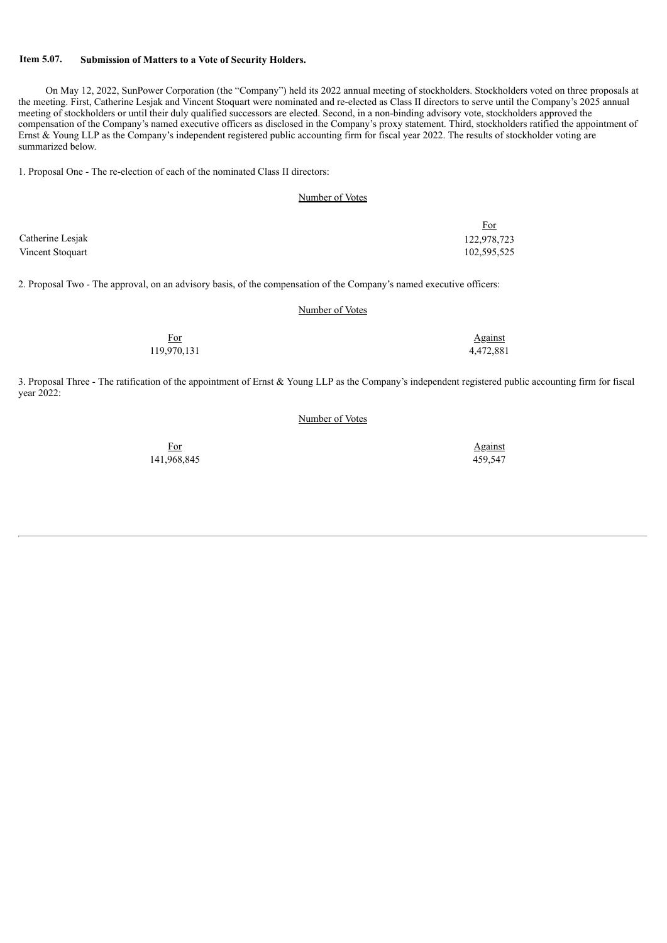#### **Item 5.07. Submission of Matters to a Vote of Security Holders.**

On May 12, 2022, SunPower Corporation (the "Company") held its 2022 annual meeting of stockholders. Stockholders voted on three proposals at the meeting. First, Catherine Lesjak and Vincent Stoquart were nominated and re-elected as Class II directors to serve until the Company's 2025 annual meeting of stockholders or until their duly qualified successors are elected. Second, in a non-binding advisory vote, stockholders approved the compensation of the Company's named executive officers as disclosed in the Company's proxy statement. Third, stockholders ratified the appointment of Ernst & Young LLP as the Company's independent registered public accounting firm for fiscal year 2022. The results of stockholder voting are summarized below.

1. Proposal One - The re-election of each of the nominated Class II directors:

| Number of Votes |
|-----------------|
|-----------------|

|                  | <u>For</u>  |
|------------------|-------------|
| Catherine Lesjak | 122,978,723 |
| Vincent Stoquart | 102,595,525 |

2. Proposal Two - The approval, on an advisory basis, of the compensation of the Company's named executive officers:

#### Number of Votes

| For<br>- - - | <b>Against</b> |
|--------------|----------------|
| 119,970,131  | 4,472,881      |

3. Proposal Three - The ratification of the appointment of Ernst & Young LLP as the Company's independent registered public accounting firm for fiscal year 2022:

#### Number of Votes

141,968,845 459,547

For Against Transform and Against Against Against Against Against Against Against Against Against Against Against Against Against Against Against Against Against Against Against Against Against Against Against Against Agai